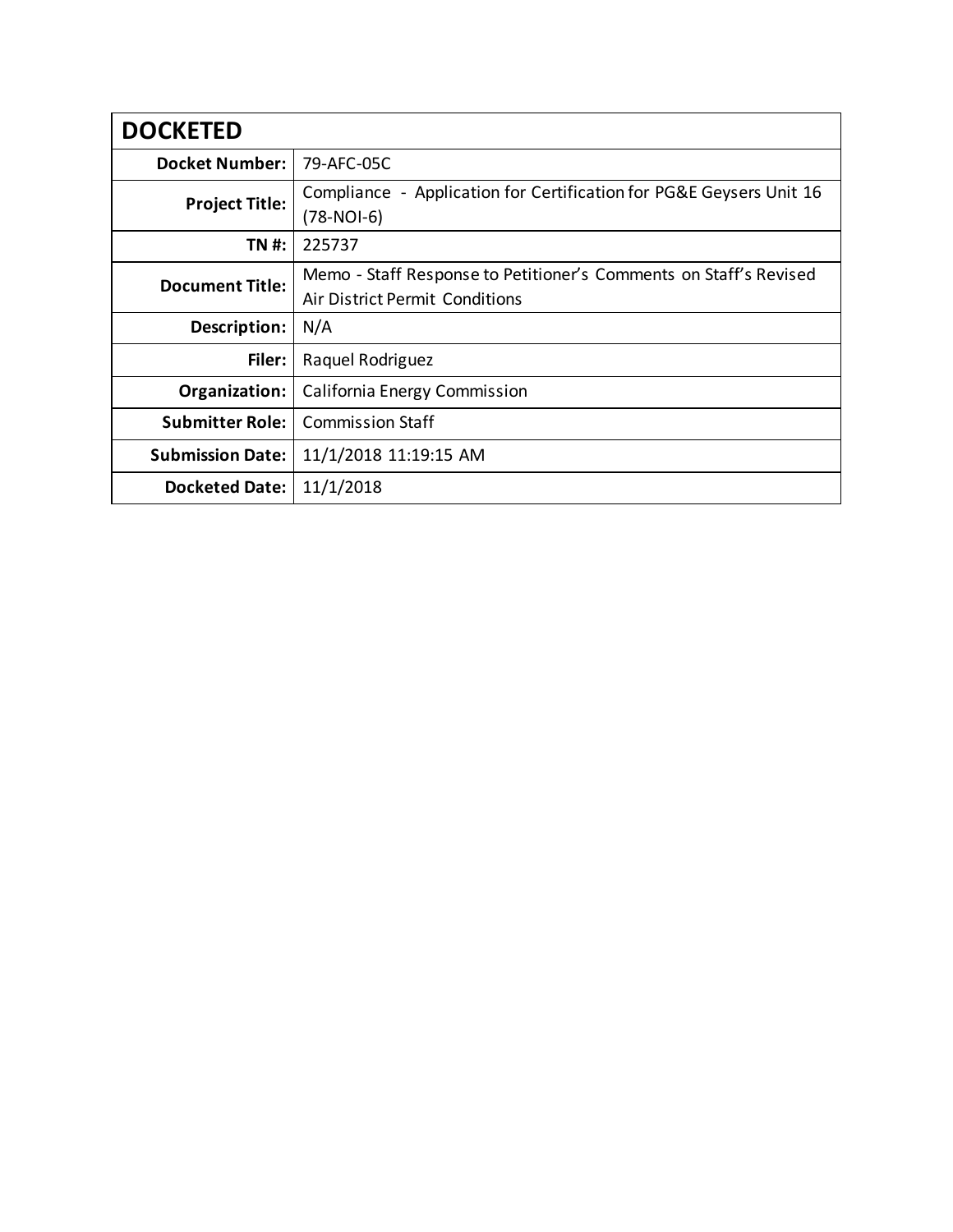| <b>DOCKETED</b>         |                                                                                                     |
|-------------------------|-----------------------------------------------------------------------------------------------------|
| <b>Docket Number:</b>   | 79-AFC-05C                                                                                          |
| <b>Project Title:</b>   | Compliance - Application for Certification for PG&E Geysers Unit 16<br>$(78-NOI-6)$                 |
| TN #:                   | 225737                                                                                              |
| <b>Document Title:</b>  | Memo - Staff Response to Petitioner's Comments on Staff's Revised<br>Air District Permit Conditions |
| Description:            | N/A                                                                                                 |
| Filer:                  | Raquel Rodriguez                                                                                    |
| Organization:           | California Energy Commission                                                                        |
| <b>Submitter Role:</b>  | <b>Commission Staff</b>                                                                             |
| <b>Submission Date:</b> | 11/1/2018 11:19:15 AM                                                                               |
| <b>Docketed Date:</b>   | 11/1/2018                                                                                           |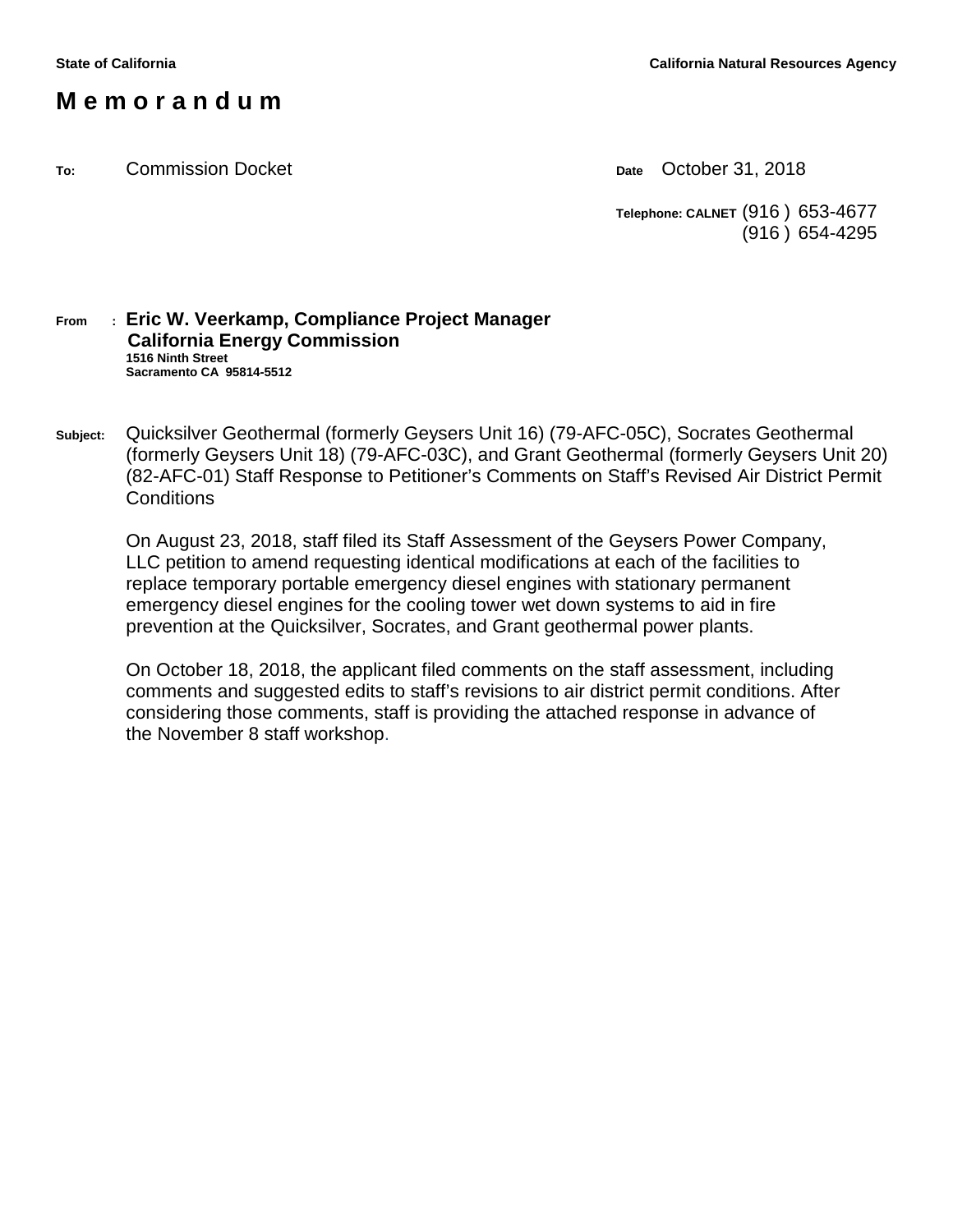## **M e m o r a n d u m**

**To:** Commission Docket **Date** October 31, 2018

**Telephone: CALNET** (916 ) 653-4677 (916 ) 654-4295

#### **From : Eric W. Veerkamp, Compliance Project Manager California Energy Commission 1516 Ninth Street Sacramento CA 95814-5512**

**Subject:** Quicksilver Geothermal (formerly Geysers Unit 16) (79-AFC-05C), Socrates Geothermal (formerly Geysers Unit 18) (79-AFC-03C), and Grant Geothermal (formerly Geysers Unit 20) (82-AFC-01) Staff Response to Petitioner's Comments on Staff's Revised Air District Permit **Conditions** 

On August 23, 2018, staff filed its Staff Assessment of the Geysers Power Company, LLC petition to amend requesting identical modifications at each of the facilities to replace temporary portable emergency diesel engines with stationary permanent emergency diesel engines for the cooling tower wet down systems to aid in fire prevention at the Quicksilver, Socrates, and Grant geothermal power plants.

On October 18, 2018, the applicant filed comments on the staff assessment, including comments and suggested edits to staff's revisions to air district permit conditions. After considering those comments, staff is providing the attached response in advance of the November 8 staff workshop.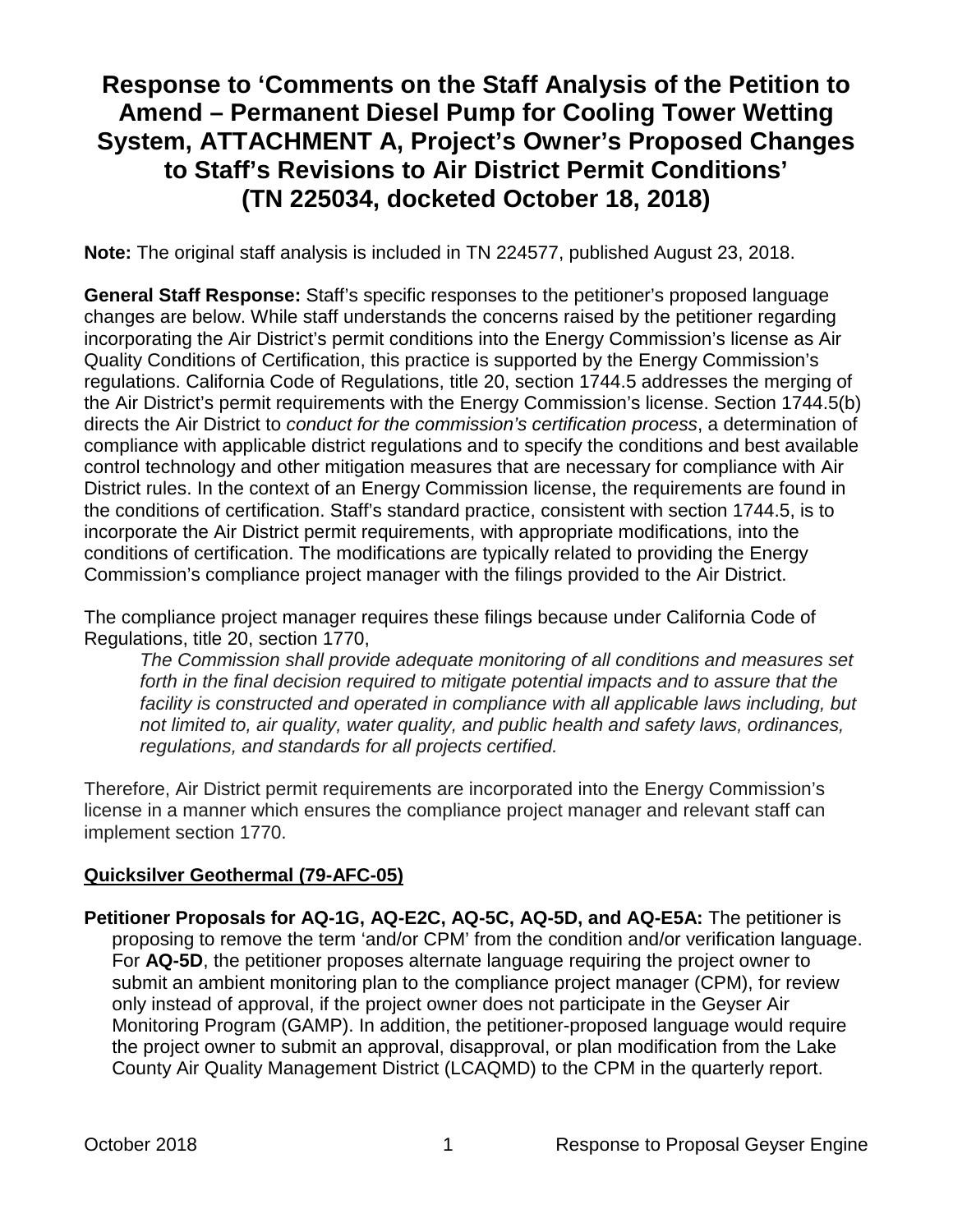# **Response to 'Comments on the Staff Analysis of the Petition to Amend – Permanent Diesel Pump for Cooling Tower Wetting System, ATTACHMENT A, Project's Owner's Proposed Changes to Staff's Revisions to Air District Permit Conditions' (TN 225034, docketed October 18, 2018)**

**Note:** The original staff analysis is included in TN 224577, published August 23, 2018.

**General Staff Response:** Staff's specific responses to the petitioner's proposed language changes are below. While staff understands the concerns raised by the petitioner regarding incorporating the Air District's permit conditions into the Energy Commission's license as Air Quality Conditions of Certification, this practice is supported by the Energy Commission's regulations. California Code of Regulations, title 20, section 1744.5 addresses the merging of the Air District's permit requirements with the Energy Commission's license. Section 1744.5(b) directs the Air District to *conduct for the commission's certification process*, a determination of compliance with applicable district regulations and to specify the conditions and best available control technology and other mitigation measures that are necessary for compliance with Air District rules. In the context of an Energy Commission license, the requirements are found in the conditions of certification. Staff's standard practice, consistent with section 1744.5, is to incorporate the Air District permit requirements, with appropriate modifications, into the conditions of certification. The modifications are typically related to providing the Energy Commission's compliance project manager with the filings provided to the Air District.

The compliance project manager requires these filings because under California Code of Regulations, title 20, section 1770,

*The Commission shall provide adequate monitoring of all conditions and measures set forth in the final decision required to mitigate potential impacts and to assure that the*  facility is constructed and operated in compliance with all applicable laws including, but *not limited to, air quality, water quality, and public health and safety laws, ordinances, regulations, and standards for all projects certified.* 

Therefore, Air District permit requirements are incorporated into the Energy Commission's license in a manner which ensures the compliance project manager and relevant staff can implement section 1770.

#### **Quicksilver Geothermal (79-AFC-05)**

**Petitioner Proposals for AQ-1G, AQ-E2C, AQ-5C, AQ-5D, and AQ-E5A:** The petitioner is proposing to remove the term 'and/or CPM' from the condition and/or verification language. For **AQ-5D**, the petitioner proposes alternate language requiring the project owner to submit an ambient monitoring plan to the compliance project manager (CPM), for review only instead of approval, if the project owner does not participate in the Geyser Air Monitoring Program (GAMP). In addition, the petitioner-proposed language would require the project owner to submit an approval, disapproval, or plan modification from the Lake County Air Quality Management District (LCAQMD) to the CPM in the quarterly report.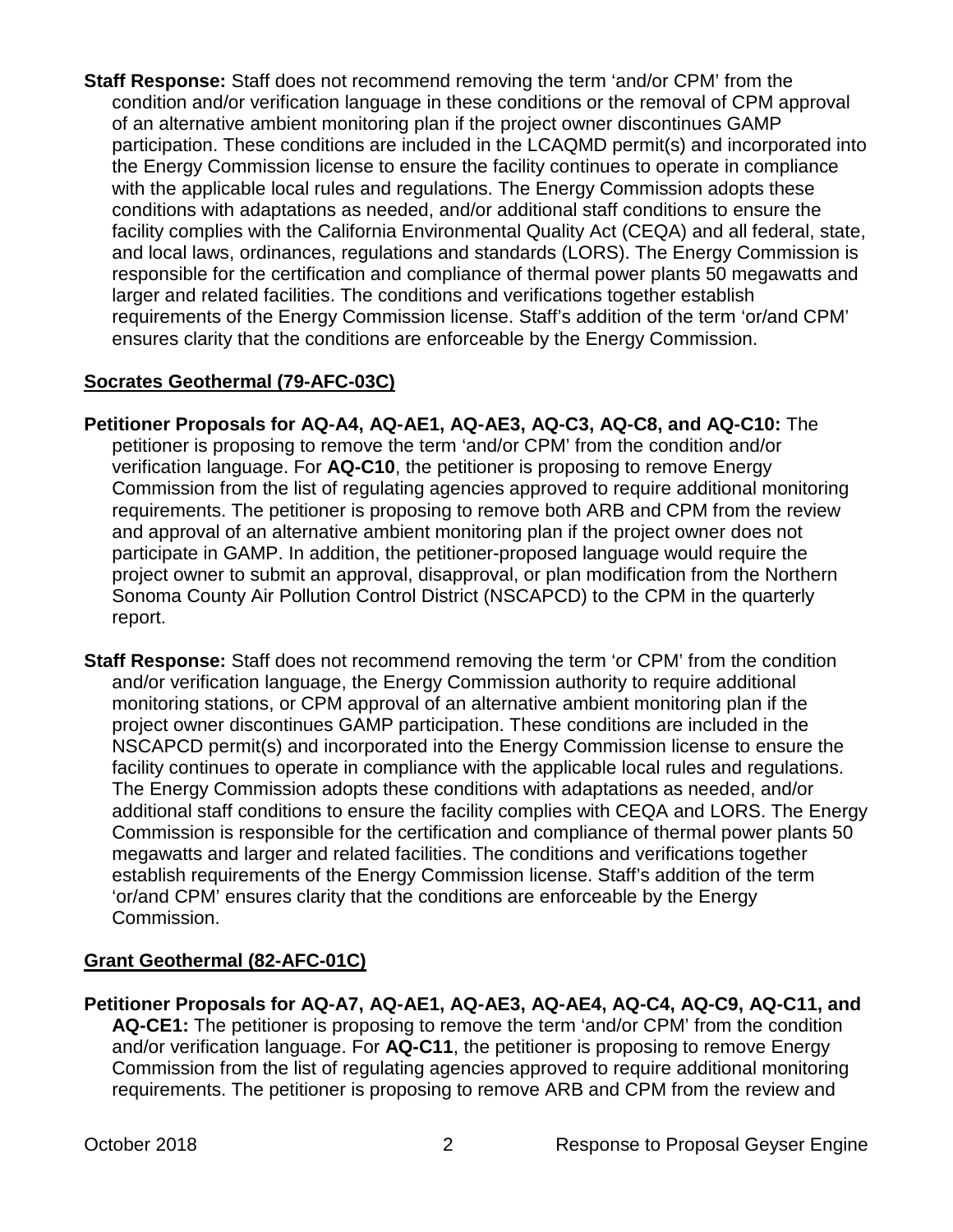**Staff Response:** Staff does not recommend removing the term 'and/or CPM' from the condition and/or verification language in these conditions or the removal of CPM approval of an alternative ambient monitoring plan if the project owner discontinues GAMP participation. These conditions are included in the LCAQMD permit(s) and incorporated into the Energy Commission license to ensure the facility continues to operate in compliance with the applicable local rules and regulations. The Energy Commission adopts these conditions with adaptations as needed, and/or additional staff conditions to ensure the facility complies with the California Environmental Quality Act (CEQA) and all federal, state, and local laws, ordinances, regulations and standards (LORS). The Energy Commission is responsible for the certification and compliance of thermal power plants 50 megawatts and larger and related facilities. The conditions and verifications together establish requirements of the Energy Commission license. Staff's addition of the term 'or/and CPM' ensures clarity that the conditions are enforceable by the Energy Commission.

#### **Socrates Geothermal (79-AFC-03C)**

- **Petitioner Proposals for AQ-A4, AQ-AE1, AQ-AE3, AQ-C3, AQ-C8, and AQ-C10:** The petitioner is proposing to remove the term 'and/or CPM' from the condition and/or verification language. For **AQ-C10**, the petitioner is proposing to remove Energy Commission from the list of regulating agencies approved to require additional monitoring requirements. The petitioner is proposing to remove both ARB and CPM from the review and approval of an alternative ambient monitoring plan if the project owner does not participate in GAMP. In addition, the petitioner-proposed language would require the project owner to submit an approval, disapproval, or plan modification from the Northern Sonoma County Air Pollution Control District (NSCAPCD) to the CPM in the quarterly report.
- **Staff Response:** Staff does not recommend removing the term 'or CPM' from the condition and/or verification language, the Energy Commission authority to require additional monitoring stations, or CPM approval of an alternative ambient monitoring plan if the project owner discontinues GAMP participation. These conditions are included in the NSCAPCD permit(s) and incorporated into the Energy Commission license to ensure the facility continues to operate in compliance with the applicable local rules and regulations. The Energy Commission adopts these conditions with adaptations as needed, and/or additional staff conditions to ensure the facility complies with CEQA and LORS. The Energy Commission is responsible for the certification and compliance of thermal power plants 50 megawatts and larger and related facilities. The conditions and verifications together establish requirements of the Energy Commission license. Staff's addition of the term 'or/and CPM' ensures clarity that the conditions are enforceable by the Energy Commission.

### **Grant Geothermal (82-AFC-01C)**

**Petitioner Proposals for AQ-A7, AQ-AE1, AQ-AE3, AQ-AE4, AQ-C4, AQ-C9, AQ-C11, and AQ-CE1:** The petitioner is proposing to remove the term 'and/or CPM' from the condition and/or verification language. For **AQ-C11**, the petitioner is proposing to remove Energy Commission from the list of regulating agencies approved to require additional monitoring requirements. The petitioner is proposing to remove ARB and CPM from the review and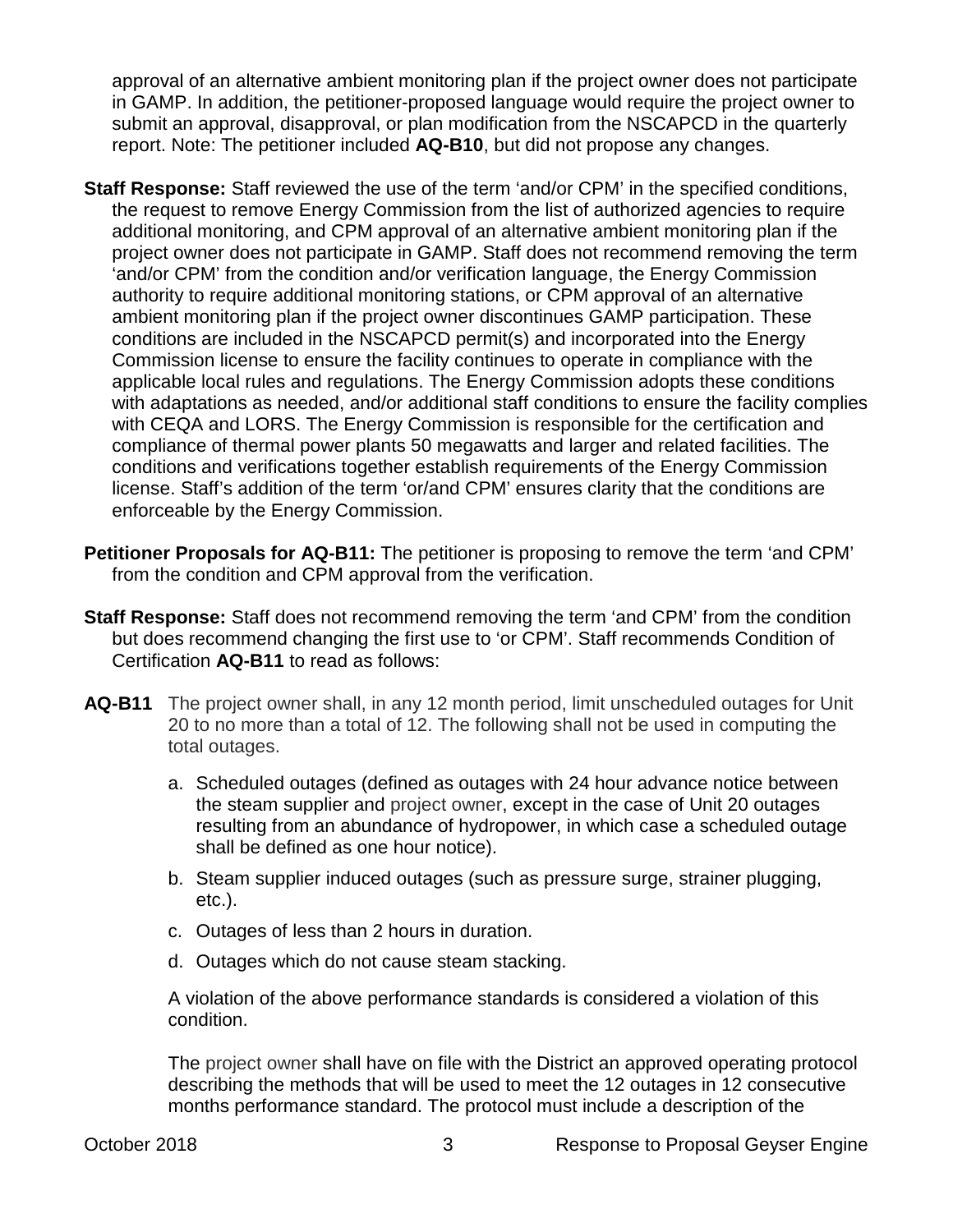approval of an alternative ambient monitoring plan if the project owner does not participate in GAMP. In addition, the petitioner-proposed language would require the project owner to submit an approval, disapproval, or plan modification from the NSCAPCD in the quarterly report. Note: The petitioner included **AQ-B10**, but did not propose any changes.

- **Staff Response:** Staff reviewed the use of the term 'and/or CPM' in the specified conditions, the request to remove Energy Commission from the list of authorized agencies to require additional monitoring, and CPM approval of an alternative ambient monitoring plan if the project owner does not participate in GAMP. Staff does not recommend removing the term 'and/or CPM' from the condition and/or verification language, the Energy Commission authority to require additional monitoring stations, or CPM approval of an alternative ambient monitoring plan if the project owner discontinues GAMP participation. These conditions are included in the NSCAPCD permit(s) and incorporated into the Energy Commission license to ensure the facility continues to operate in compliance with the applicable local rules and regulations. The Energy Commission adopts these conditions with adaptations as needed, and/or additional staff conditions to ensure the facility complies with CEQA and LORS. The Energy Commission is responsible for the certification and compliance of thermal power plants 50 megawatts and larger and related facilities. The conditions and verifications together establish requirements of the Energy Commission license. Staff's addition of the term 'or/and CPM' ensures clarity that the conditions are enforceable by the Energy Commission.
- **Petitioner Proposals for AQ-B11:** The petitioner is proposing to remove the term 'and CPM' from the condition and CPM approval from the verification.
- **Staff Response:** Staff does not recommend removing the term 'and CPM' from the condition but does recommend changing the first use to 'or CPM'. Staff recommends Condition of Certification **AQ-B11** to read as follows:
- **AQ-B11** The project owner shall, in any 12 month period, limit unscheduled outages for Unit 20 to no more than a total of 12. The following shall not be used in computing the total outages.
	- a. Scheduled outages (defined as outages with 24 hour advance notice between the steam supplier and project owner, except in the case of Unit 20 outages resulting from an abundance of hydropower, in which case a scheduled outage shall be defined as one hour notice).
	- b. Steam supplier induced outages (such as pressure surge, strainer plugging, etc.).
	- c. Outages of less than 2 hours in duration.
	- d. Outages which do not cause steam stacking.

A violation of the above performance standards is considered a violation of this condition.

The project owner shall have on file with the District an approved operating protocol describing the methods that will be used to meet the 12 outages in 12 consecutive months performance standard. The protocol must include a description of the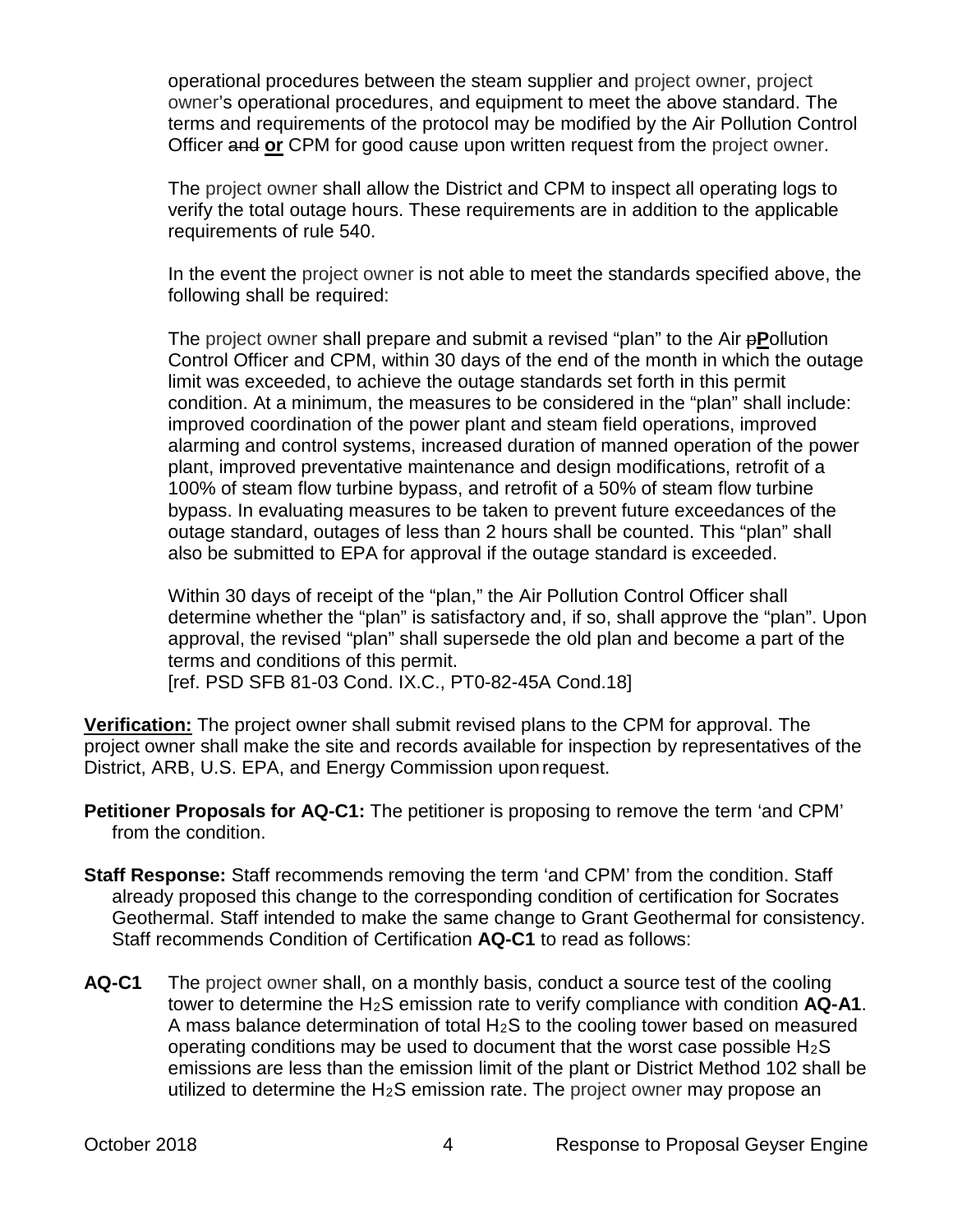operational procedures between the steam supplier and project owner, project owner's operational procedures, and equipment to meet the above standard. The terms and requirements of the protocol may be modified by the Air Pollution Control Officer and **or** CPM for good cause upon written request from the project owner.

The project owner shall allow the District and CPM to inspect all operating logs to verify the total outage hours. These requirements are in addition to the applicable requirements of rule 540.

In the event the project owner is not able to meet the standards specified above, the following shall be required:

The project owner shall prepare and submit a revised "plan" to the Air p**P**ollution Control Officer and CPM, within 30 days of the end of the month in which the outage limit was exceeded, to achieve the outage standards set forth in this permit condition. At a minimum, the measures to be considered in the "plan" shall include: improved coordination of the power plant and steam field operations, improved alarming and control systems, increased duration of manned operation of the power plant, improved preventative maintenance and design modifications, retrofit of a 100% of steam flow turbine bypass, and retrofit of a 50% of steam flow turbine bypass. In evaluating measures to be taken to prevent future exceedances of the outage standard, outages of less than 2 hours shall be counted. This "plan" shall also be submitted to EPA for approval if the outage standard is exceeded.

Within 30 days of receipt of the "plan," the Air Pollution Control Officer shall determine whether the "plan" is satisfactory and, if so, shall approve the "plan". Upon approval, the revised "plan" shall supersede the old plan and become a part of the terms and conditions of this permit.

[ref. PSD SFB 81-03 Cond. IX.C., PT0-82-45A Cond.18]

**Verification:** The project owner shall submit revised plans to the CPM for approval. The project owner shall make the site and records available for inspection by representatives of the District, ARB, U.S. EPA, and Energy Commission upon request.

- **Petitioner Proposals for AQ-C1:** The petitioner is proposing to remove the term 'and CPM' from the condition.
- **Staff Response:** Staff recommends removing the term 'and CPM' from the condition. Staff already proposed this change to the corresponding condition of certification for Socrates Geothermal. Staff intended to make the same change to Grant Geothermal for consistency. Staff recommends Condition of Certification **AQ-C1** to read as follows:
- **AQ-C1** The project owner shall, on a monthly basis, conduct a source test of the cooling tower to determine the H2S emission rate to verify compliance with condition **AQ-A1**. A mass balance determination of total H2S to the cooling tower based on measured operating conditions may be used to document that the worst case possible  $H_2S$ emissions are less than the emission limit of the plant or District Method 102 shall be utilized to determine the  $H_2S$  emission rate. The project owner may propose an